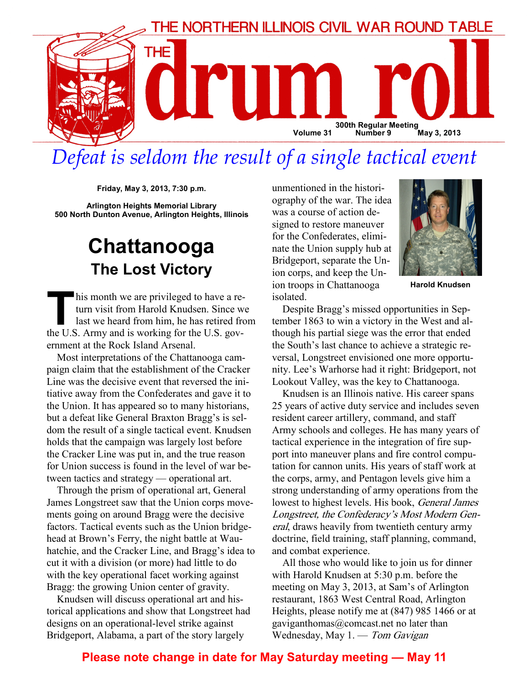

# Defeat is seldom the result of a single tactical event

Friday, May 3, 2013, 7:30 p.m.

Arlington Heights Memorial Library 500 North Dunton Avenue, Arlington Heights, Illinois

### Chattanooga The Lost Victory

his month we are privileged to have a return visit from Harold Knudsen. Since we last we heard from him, he has retired from the U.S. Army and is working for the U.S. government at the Rock Island Arsenal.

Most interpretations of the Chattanooga campaign claim that the establishment of the Cracker Line was the decisive event that reversed the initiative away from the Confederates and gave it to the Union. It has appeared so to many historians, but a defeat like General Braxton Bragg's is seldom the result of a single tactical event. Knudsen holds that the campaign was largely lost before the Cracker Line was put in, and the true reason for Union success is found in the level of war between tactics and strategy — operational art.

Through the prism of operational art, General James Longstreet saw that the Union corps movements going on around Bragg were the decisive factors. Tactical events such as the Union bridgehead at Brown's Ferry, the night battle at Wauhatchie, and the Cracker Line, and Bragg's idea to cut it with a division (or more) had little to do with the key operational facet working against Bragg: the growing Union center of gravity.

Knudsen will discuss operational art and historical applications and show that Longstreet had designs on an operational-level strike against Bridgeport, Alabama, a part of the story largely

unmentioned in the historiography of the war. The idea was a course of action designed to restore maneuver for the Confederates, eliminate the Union supply hub at Bridgeport, separate the Union corps, and keep the Union troops in Chattanooga isolated.



Harold Knudsen

Despite Bragg's missed opportunities in September 1863 to win a victory in the West and although his partial siege was the error that ended the South's last chance to achieve a strategic reversal, Longstreet envisioned one more opportunity. Lee's Warhorse had it right: Bridgeport, not Lookout Valley, was the key to Chattanooga.

Knudsen is an Illinois native. His career spans 25 years of active duty service and includes seven resident career artillery, command, and staff Army schools and colleges. He has many years of tactical experience in the integration of fire support into maneuver plans and fire control computation for cannon units. His years of staff work at the corps, army, and Pentagon levels give him a strong understanding of army operations from the lowest to highest levels. His book, General James Longstreet, the Confederacy's Most Modern General, draws heavily from twentieth century army doctrine, field training, staff planning, command, and combat experience.

All those who would like to join us for dinner with Harold Knudsen at 5:30 p.m. before the meeting on May 3, 2013, at Sam's of Arlington restaurant, 1863 West Central Road, Arlington Heights, please notify me at (847) 985 1466 or at gaviganthomas@comcast.net no later than Wednesday, May 1. — Tom Gavigan

#### Please note change in date for May Saturday meeting — May 11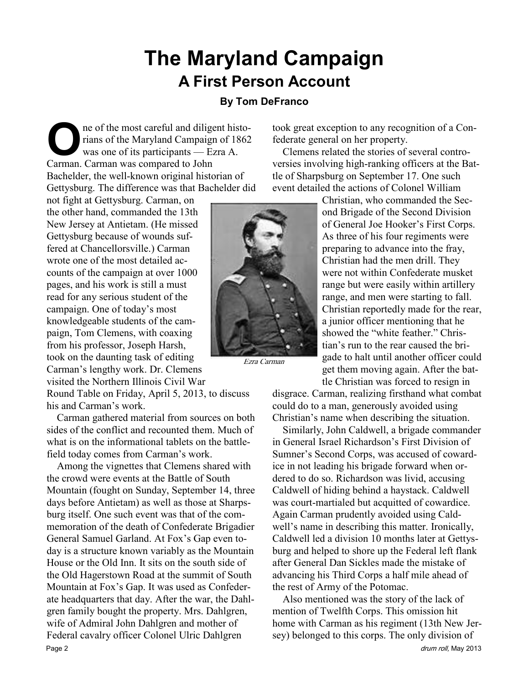## The Maryland Campaign A First Person Account

#### By Tom DeFranco

ne of the most careful and diligent historians of the Maryland Campaign of 1862 was one of its participants — Ezra A. Carman. Carman was compared to John Bachelder, the well-known original historian of Gettysburg. The difference was that Bachelder did

not fight at Gettysburg. Carman, on the other hand, commanded the 13th New Jersey at Antietam. (He missed Gettysburg because of wounds suffered at Chancellorsville.) Carman wrote one of the most detailed accounts of the campaign at over 1000 pages, and his work is still a must read for any serious student of the campaign. One of today's most knowledgeable students of the campaign, Tom Clemens, with coaxing from his professor, Joseph Harsh, took on the daunting task of editing Carman's lengthy work. Dr. Clemens visited the Northern Illinois Civil War

Round Table on Friday, April 5, 2013, to discuss his and Carman's work.

Carman gathered material from sources on both sides of the conflict and recounted them. Much of what is on the informational tablets on the battlefield today comes from Carman's work.

Among the vignettes that Clemens shared with the crowd were events at the Battle of South Mountain (fought on Sunday, September 14, three days before Antietam) as well as those at Sharpsburg itself. One such event was that of the commemoration of the death of Confederate Brigadier General Samuel Garland. At Fox's Gap even today is a structure known variably as the Mountain House or the Old Inn. It sits on the south side of the Old Hagerstown Road at the summit of South Mountain at Fox's Gap. It was used as Confederate headquarters that day. After the war, the Dahlgren family bought the property. Mrs. Dahlgren, wife of Admiral John Dahlgren and mother of Federal cavalry officer Colonel Ulric Dahlgren Page 2 drum roll, May 2013

took great exception to any recognition of a Confederate general on her property.

Clemens related the stories of several controversies involving high-ranking officers at the Battle of Sharpsburg on September 17. One such event detailed the actions of Colonel William

> Christian, who commanded the Second Brigade of the Second Division of General Joe Hooker's First Corps. As three of his four regiments were preparing to advance into the fray, Christian had the men drill. They were not within Confederate musket range but were easily within artillery range, and men were starting to fall. Christian reportedly made for the rear, a junior officer mentioning that he showed the "white feather." Christian's run to the rear caused the brigade to halt until another officer could get them moving again. After the battle Christian was forced to resign in

disgrace. Carman, realizing firsthand what combat could do to a man, generously avoided using Christian's name when describing the situation.

Similarly, John Caldwell, a brigade commander in General Israel Richardson's First Division of Sumner's Second Corps, was accused of cowardice in not leading his brigade forward when ordered to do so. Richardson was livid, accusing Caldwell of hiding behind a haystack. Caldwell was court-martialed but acquitted of cowardice. Again Carman prudently avoided using Caldwell's name in describing this matter. Ironically, Caldwell led a division 10 months later at Gettysburg and helped to shore up the Federal left flank after General Dan Sickles made the mistake of advancing his Third Corps a half mile ahead of the rest of Army of the Potomac.

Also mentioned was the story of the lack of mention of Twelfth Corps. This omission hit home with Carman as his regiment (13th New Jersey) belonged to this corps. The only division of



Ezra Carman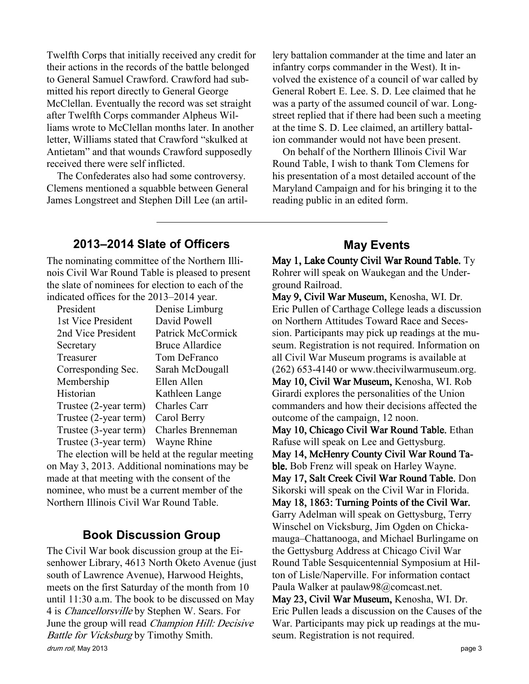Twelfth Corps that initially received any credit for their actions in the records of the battle belonged to General Samuel Crawford. Crawford had submitted his report directly to General George McClellan. Eventually the record was set straight after Twelfth Corps commander Alpheus Williams wrote to McClellan months later. In another letter, Williams stated that Crawford "skulked at Antietam" and that wounds Crawford supposedly received there were self inflicted.

The Confederates also had some controversy. Clemens mentioned a squabble between General James Longstreet and Stephen Dill Lee (an artil-

lery battalion commander at the time and later an infantry corps commander in the West). It involved the existence of a council of war called by General Robert E. Lee. S. D. Lee claimed that he was a party of the assumed council of war. Longstreet replied that if there had been such a meeting at the time S. D. Lee claimed, an artillery battalion commander would not have been present.

On behalf of the Northern Illinois Civil War Round Table, I wish to thank Tom Clemens for his presentation of a most detailed account of the Maryland Campaign and for his bringing it to the reading public in an edited form.

#### 2013–2014 Slate of Officers

The nominating committee of the Northern Illinois Civil War Round Table is pleased to present the slate of nominees for election to each of the indicated offices for the 2013–2014 year.

| President                                          | Denise Limburg         |
|----------------------------------------------------|------------------------|
| 1st Vice President                                 | David Powell           |
| 2nd Vice President                                 | Patrick McCormick      |
| Secretary                                          | <b>Bruce Allardice</b> |
| Treasurer                                          | Tom DeFranco           |
| Corresponding Sec.                                 | Sarah McDougall        |
| Membership                                         | Ellen Allen            |
| Historian                                          | Kathleen Lange         |
| Trustee (2-year term)                              | <b>Charles Carr</b>    |
| Trustee (2-year term)                              | Carol Berry            |
| Trustee (3-year term)                              | Charles Brenneman      |
| Trustee (3-year term)                              | Wayne Rhine            |
| The closifian will he hald of the negotian measure |                        |

The election will be held at the regular meeting on May 3, 2013. Additional nominations may be made at that meeting with the consent of the nominee, who must be a current member of the Northern Illinois Civil War Round Table.

#### Book Discussion Group

drum roll, May 2013 **page 3** The Civil War book discussion group at the Eisenhower Library, 4613 North Oketo Avenue (just south of Lawrence Avenue), Harwood Heights, meets on the first Saturday of the month from 10 until 11:30 a.m. The book to be discussed on May 4 is Chancellorsville by Stephen W. Sears. For June the group will read Champion Hill: Decisive Battle for Vicksburg by Timothy Smith.

#### May Events

May 1, Lake County Civil War Round Table. Ty Rohrer will speak on Waukegan and the Underground Railroad.

May 9, Civil War Museum, Kenosha, WI. Dr. Eric Pullen of Carthage College leads a discussion on Northern Attitudes Toward Race and Secession. Participants may pick up readings at the museum. Registration is not required. Information on all Civil War Museum programs is available at (262) 653-4140 or www.thecivilwarmuseum.org. May 10, Civil War Museum, Kenosha, WI. Rob Girardi explores the personalities of the Union commanders and how their decisions affected the outcome of the campaign, 12 noon. May 10, Chicago Civil War Round Table. Ethan Rafuse will speak on Lee and Gettysburg. May 14, McHenry County Civil War Round Table. Bob Frenz will speak on Harley Wayne. May 17, Salt Creek Civil War Round Table. Don Sikorski will speak on the Civil War in Florida. May 18, 1863: Turning Points of the Civil War. Garry Adelman will speak on Gettysburg, Terry Winschel on Vicksburg, Jim Ogden on Chickamauga–Chattanooga, and Michael Burlingame on the Gettysburg Address at Chicago Civil War Round Table Sesquicentennial Symposium at Hilton of Lisle/Naperville. For information contact Paula Walker at paulaw98@comcast.net. May 23, Civil War Museum, Kenosha, WI. Dr. Eric Pullen leads a discussion on the Causes of the War. Participants may pick up readings at the museum. Registration is not required.